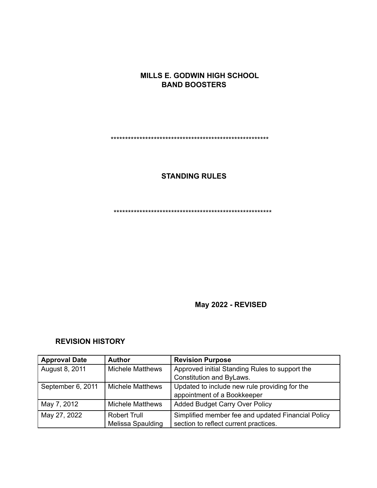## **MILLS E. GODWIN HIGH SCHOOL BAND BOOSTERS**

\*\*\*\*\*\*\*\*\*\*\*\*\*\*\*\*\*\*\*\*\*\*\*\*\*\*\*\*\*\*\*\*\*\*\*\*\*\*\*\*\*\*\*\*\*\*\*\*\*\*\*\*\*\*\*

## **STANDING RULES**

\*\*\*\*\*\*\*\*\*\*\*\*\*\*\*\*\*\*\*\*\*\*\*\*\*\*\*\*\*\*\*\*\*\*\*\*\*\*\*\*\*\*\*\*\*\*\*\*\*\*\*\*\*\*\*

**May 2022 - REVISED**

## **REVISION HISTORY**

| <b>Approval Date</b> | <b>Author</b>           | <b>Revision Purpose</b>                            |
|----------------------|-------------------------|----------------------------------------------------|
| August 8, 2011       | <b>Michele Matthews</b> | Approved initial Standing Rules to support the     |
|                      |                         | Constitution and ByLaws.                           |
| September 6, 2011    | <b>Michele Matthews</b> | Updated to include new rule providing for the      |
|                      |                         | appointment of a Bookkeeper                        |
| May 7, 2012          | <b>Michele Matthews</b> | <b>Added Budget Carry Over Policy</b>              |
| May 27, 2022         | <b>Robert Trull</b>     | Simplified member fee and updated Financial Policy |
|                      | Melissa Spaulding       | section to reflect current practices.              |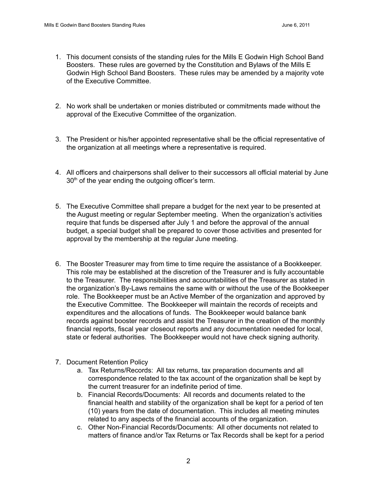- 1. This document consists of the standing rules for the Mills E Godwin High School Band Boosters. These rules are governed by the Constitution and Bylaws of the Mills E Godwin High School Band Boosters. These rules may be amended by a majority vote of the Executive Committee.
- 2. No work shall be undertaken or monies distributed or commitments made without the approval of the Executive Committee of the organization.
- 3. The President or his/her appointed representative shall be the official representative of the organization at all meetings where a representative is required.
- 4. All officers and chairpersons shall deliver to their successors all official material by June  $30<sup>th</sup>$  of the year ending the outgoing officer's term.
- 5. The Executive Committee shall prepare a budget for the next year to be presented at the August meeting or regular September meeting. When the organization's activities require that funds be dispersed after July 1 and before the approval of the annual budget, a special budget shall be prepared to cover those activities and presented for approval by the membership at the regular June meeting.
- 6. The Booster Treasurer may from time to time require the assistance of a Bookkeeper. This role may be established at the discretion of the Treasurer and is fully accountable to the Treasurer. The responsibilities and accountabilities of the Treasurer as stated in the organization's By-Laws remains the same with or without the use of the Bookkeeper role. The Bookkeeper must be an Active Member of the organization and approved by the Executive Committee. The Bookkeeper will maintain the records of receipts and expenditures and the allocations of funds. The Bookkeeper would balance bank records against booster records and assist the Treasurer in the creation of the monthly financial reports, fiscal year closeout reports and any documentation needed for local, state or federal authorities. The Bookkeeper would not have check signing authority.
- 7. Document Retention Policy
	- a. Tax Returns/Records: All tax returns, tax preparation documents and all correspondence related to the tax account of the organization shall be kept by the current treasurer for an indefinite period of time.
	- b. Financial Records/Documents: All records and documents related to the financial health and stability of the organization shall be kept for a period of ten (10) years from the date of documentation. This includes all meeting minutes related to any aspects of the financial accounts of the organization.
	- c. Other Non-Financial Records/Documents: All other documents not related to matters of finance and/or Tax Returns or Tax Records shall be kept for a period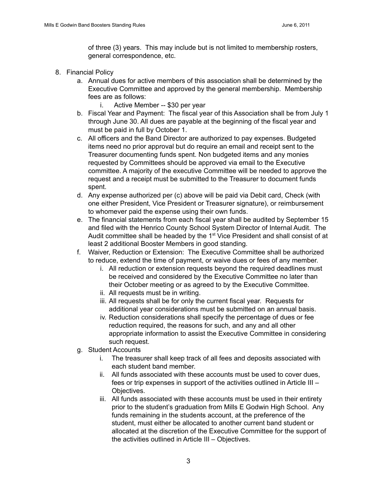of three (3) years. This may include but is not limited to membership rosters, general correspondence, etc.

- 8. Financial Policy
	- a. Annual dues for active members of this association shall be determined by the Executive Committee and approved by the general membership. Membership fees are as follows:
		- i. Active Member -- \$30 per year
	- b. Fiscal Year and Payment: The fiscal year of this Association shall be from July 1 through June 30. All dues are payable at the beginning of the fiscal year and must be paid in full by October 1.
	- c. All officers and the Band Director are authorized to pay expenses. Budgeted items need no prior approval but do require an email and receipt sent to the Treasurer documenting funds spent. Non budgeted items and any monies requested by Committees should be approved via email to the Executive committee. A majority of the executive Committee will be needed to approve the request and a receipt must be submitted to the Treasurer to document funds spent.
	- d. Any expense authorized per (c) above will be paid via Debit card, Check (with one either President, Vice President or Treasurer signature), or reimbursement to whomever paid the expense using their own funds.
	- e. The financial statements from each fiscal year shall be audited by September 15 and filed with the Henrico County School System Director of Internal Audit. The Audit committee shall be headed by the 1<sup>st</sup> Vice President and shall consist of at least 2 additional Booster Members in good standing.
	- f. Waiver, Reduction or Extension: The Executive Committee shall be authorized to reduce, extend the time of payment, or waive dues or fees of any member.
		- i. All reduction or extension requests beyond the required deadlines must be received and considered by the Executive Committee no later than their October meeting or as agreed to by the Executive Committee.
		- ii. All requests must be in writing.
		- iii. All requests shall be for only the current fiscal year. Requests for additional year considerations must be submitted on an annual basis.
		- iv. Reduction considerations shall specify the percentage of dues or fee reduction required, the reasons for such, and any and all other appropriate information to assist the Executive Committee in considering such request.
	- g. Student Accounts
		- i. The treasurer shall keep track of all fees and deposits associated with each student band member.
		- ii. All funds associated with these accounts must be used to cover dues, fees or trip expenses in support of the activities outlined in Article III – Objectives.
		- iii. All funds associated with these accounts must be used in their entirety prior to the student's graduation from Mills E Godwin High School. Any funds remaining in the students account, at the preference of the student, must either be allocated to another current band student or allocated at the discretion of the Executive Committee for the support of the activities outlined in Article III – Objectives.